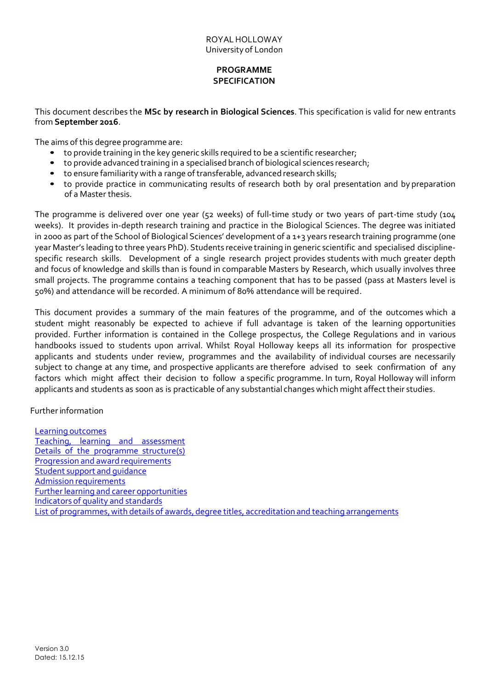# **PROGRAMME SPECIFICATION**

This document describes the **MSc by research in Biological Sciences**. This specification is valid for new entrants from **September 2016**.

The aims of this degree programme are:

- to provide training in the key generic skills required to be a scientific researcher;
- to provide advanced training in a specialised branch of biological sciences research;
- to ensure familiarity with a range of transferable, advanced research skills;
- to provide practice in communicating results of research both by oral presentation and by preparation of a Master thesis.

The programme is delivered over one year (52 weeks) of full-time study or two years of part-time study (104 weeks). It provides in-depth research training and practice in the Biological Sciences. The degree was initiated in 2000 as part of the School of Biological Sciences' development of a 1+3 years research training programme (one year Master's leading to three years PhD). Students receive training in generic scientific and specialised disciplinespecific research skills. Development of a single research project provides students with much greater depth and focus of knowledge and skills than is found in comparable Masters by Research, which usually involves three small projects. The programme contains a teaching component that has to be passed (pass at Masters level is 50%) and attendance will be recorded. A minimum of 80% attendance will be required.

This document provides a summary of the main features of the programme, and of the outcomes which a student might reasonably be expected to achieve if full advantage is taken of the learning opportunities provided. Further information is contained in the College prospectus, the College Regulations and in various handbooks issued to students upon arrival. Whilst Royal Holloway keeps all its information for prospective applicants and students under review, programmes and the availability of individual courses are necessarily subject to change at any time, and prospective applicants are therefore advised to seek confirmation of any factors which might affect their decision to follow a specific programme. In turn, Royal Holloway will inform applicants and students as soon as is practicable of any substantial changes which might affecttheir studies.

Furtherinformation

Learning outcomes Teaching, learning and assessment Details of the programme structure(s) Progression and award requirements Student support and guidance Admission requirements Further learning and career opportunities Indicators of quality and standards List of programmes,with details of awards, degree titles, accreditation and teaching arrangements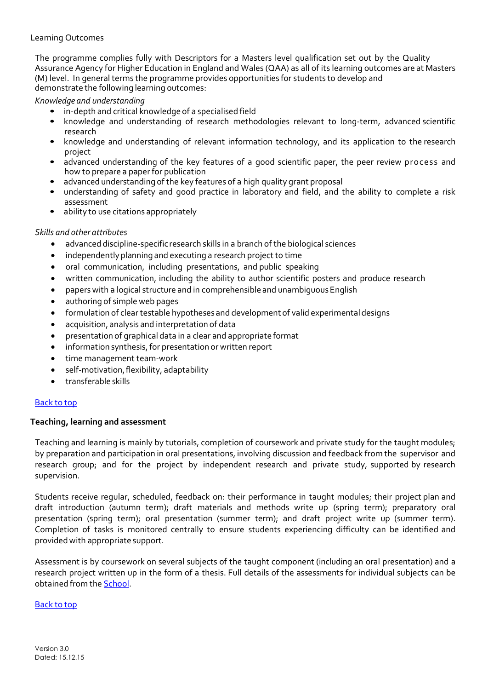## Learning Outcomes

The programme complies fully with Descriptors for a Masters level qualification set out by the Quality Assurance Agency for Higher Education in England and Wales (QAA) as all of its learning outcomes are at Masters (M) level. In general terms the programme provides opportunities for students to develop and demonstrate the following learning outcomes:

*Knowledge and understanding*

- in-depth and critical knowledge of a specialised field
- knowledge and understanding of research methodologies relevant to long-term, advanced scientific research
- knowledge and understanding of relevant information technology, and its application to the research project
- advanced understanding of the key features of a good scientific paper, the peer review process and how to prepare a paper for publication
- advanced understanding of the key features of a high quality grant proposal<br>• understanding of safety and good practice in laboratory and field, and t
- understanding of safety and good practice in laboratory and field, and the ability to complete a risk assessment
- ability to use citations appropriately

### *Skills and other attributes*

- advanced discipline-specific research skills in a branch of the biological sciences
- independentlyplanning and executing a research project to time
- oral communication, including presentations, and public speaking
- written communication, including the ability to author scientific posters and produce research
- papers with a logical structure and in comprehensible and unambiguousEnglish
- authoring of simple web pages
- formulation of clear testable hypotheses and development of valid experimentaldesigns
- acquisition, analysis and interpretation of data
- presentation of graphical data in a clear and appropriate format
- information synthesis, for presentation or written report
- time management team-work
- self-motivation, flexibility, adaptability
- transferable skills

#### Back to top

### **Teaching, learning and assessment**

Teaching and learning is mainly by tutorials, completion of coursework and private study for the taught modules; by preparation and participation in oral presentations, involving discussion and feedback from the supervisor and research group; and for the project by independent research and private study, supported by research supervision.

Students receive regular, scheduled, feedback on: their performance in taught modules; their project plan and draft introduction (autumn term); draft materials and methods write up (spring term); preparatory oral presentation (spring term); oral presentation (summer term); and draft project write up (summer term). Completion of tasks is monitored centrally to ensure students experiencing difficulty can be identified and provided with appropriate support.

Assessment is by coursework on several subjects of the taught component (including an oral presentation) and a research project written up in the form of a thesis. Full details of the assessments for individual subjects can be obtained from the [School.](http://www.rhul.ac.uk/biological-sciences/)

#### Back to top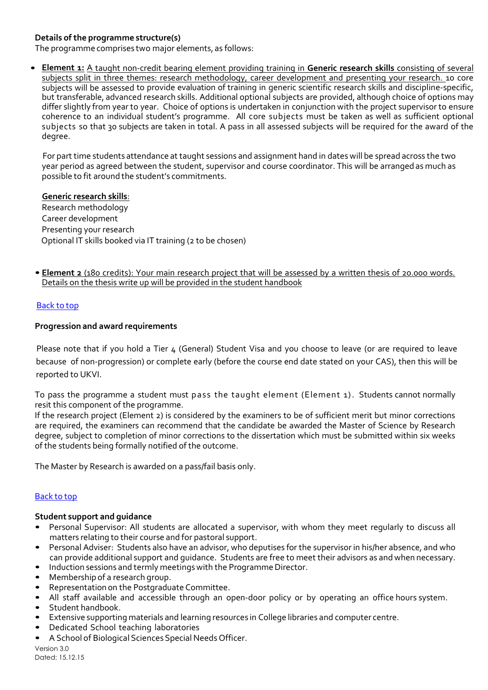# **Details of the programme structure(s)**

The programme comprises two major elements, as follows:

• **Element 1:** A taught non-credit bearing element providing training in **Generic research skills** consisting of several subjects split in three themes: research methodology, career development and presenting your research. 10 core subjects will be assessed to provide evaluation of training in generic scientific research skills and discipline-specific, but transferable, advanced research skills. Additional optional subjects are provided, although choice of options may differ slightly from year to year. Choice of options is undertaken in conjunction with the project supervisor to ensure coherence to an individual student's programme. All core subjects must be taken as well as sufficient optional subjects so that 30 subjects are taken in total. A pass in all assessed subjects will be required for the award of the degree.

 For part time students attendance at taught sessions and assignment hand in dates will be spread across the two year period as agreed between the student, supervisor and course coordinator. This will be arranged as much as possible to fit around the student's commitments.

### **Generic research skills**:

Research methodology Career development Presenting your research Optional IT skills booked via IT training (2 to be chosen)

• **Element 2** (180 credits): Your main research project that will be assessed by a written thesis of 20.000 words. Details on the thesis write up will be provided in the student handbook

### Back to top

### **Progression and award requirements**

 Please note that if you hold a Tier 4 (General) Student Visa and you choose to leave (or are required to leave because of non-progression) or complete early (before the course end date stated on your CAS), then this will be reported to UKVI.

To pass the programme a student must pass the taught element (Element 1). Students cannot normally resit this component of the programme.

If the research project (Element 2) is considered by the examiners to be of sufficient merit but minor corrections are required, the examiners can recommend that the candidate be awarded the Master of Science by Research degree, subject to completion of minor corrections to the dissertation which must be submitted within six weeks of the students being formally notified of the outcome.

The Master by Research is awarded on a pass/fail basis only.

# Back to top

#### **Student support and guidance**

- Personal Supervisor: All students are allocated a supervisor, with whom they meet regularly to discuss all matters relating to their course and for pastoral support.
- Personal Adviser: Students also have an advisor, who deputises for the supervisor in his/her absence, and who can provide additional support and guidance. Students are free to meet their advisors as and when necessary.
- Induction sessions and termly meetings with the Programme Director.<br>• Membership of a research group
- Membership of a research group.<br>• Representation on the Postgradu
- Representation on the Postgraduate Committee.
- All staff available and accessible through an open-door policy or by operating an office hours system.<br>• Student bandbook
- Student handbook.
- Extensive supporting materials and learning resources in College libraries and computer centre.
- Dedicated School teaching laboratories
- A School of Biological Sciences Special Needs Officer.